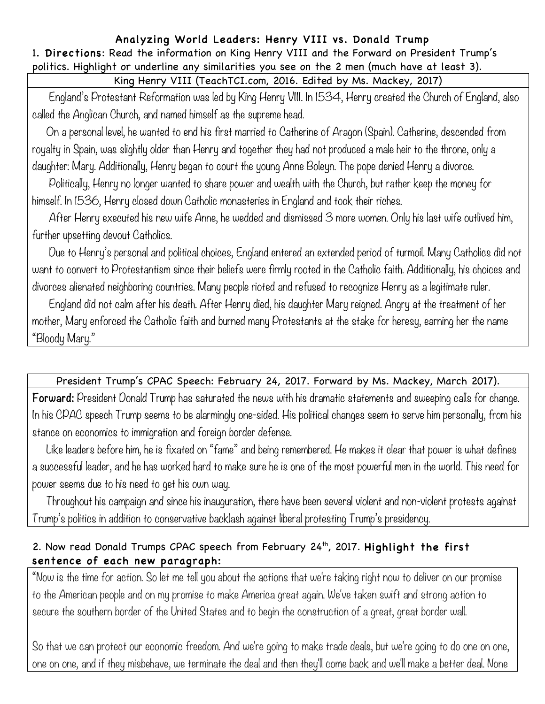## Analyzing World Leaders: Henry VIII vs. Donald Trump

1. Directions: Read the information on King Henry VIII and the Forward on President Trump's politics. Highlight or underline any similarities you see on the 2 men (much have at least 3).

## King Henry VIII (TeachTCI.com, 2016. Edited by Ms. Mackey, 2017)

 England's Protestant Reformation was led by King Henry VIII. In 1534, Henry created the Church of England, also called the Anglican Church, and named himself as the supreme head.

 On a personal level, he wanted to end his first married to Catherine of Aragon (Spain). Catherine, descended from royalty in Spain, was slightly older than Henry and together they had not produced a male heir to the throne, only a daughter: Mary. Additionally, Henry began to court the young Anne Boleyn. The pope denied Henry a divorce.

 Politically, Henry no longer wanted to share power and wealth with the Church, but rather keep the money for himself. In 1536, Henry closed down Catholic monasteries in England and took their riches.

 After Henry executed his new wife Anne, he wedded and dismissed 3 more women. Only his last wife outlived him, further upsetting devout Catholics.

 Due to Henry's personal and political choices, England entered an extended period of turmoil. Many Catholics did not want to convert to Protestantism since their beliefs were firmly rooted in the Catholic faith. Additionally, his choices and divorces alienated neighboring countries. Many people rioted and refused to recognize Henry as a legitimate ruler.

 England did not calm after his death. After Henry died, his daughter Mary reigned. Angry at the treatment of her mother, Mary enforced the Catholic faith and burned many Protestants at the stake for heresy, earning her the name "Bloody Mary."

## President Trump's CPAC Speech: February 24, 2017. Forward by Ms. Mackey, March 2017).

**Forward:** President Donald Trump has saturated the news with his dramatic statements and sweeping calls for change. In his CPAC speech Trump seems to be alarmingly one-sided. His political changes seem to serve him personally, from his stance on economics to immigration and foreign border defense.

 Like leaders before him, he is fixated on "fame" and being remembered. He makes it clear that power is what defines a successful leader, and he has worked hard to make sure he is one of the most powerful men in the world. This need for power seems due to his need to get his own way.

 Throughout his campaign and since his inauguration, there have been several violent and non-violent protests against Trump's politics in addition to conservative backlash against liberal protesting Trump's presidency.

## 2. Now read Donald Trumps CPAC speech from February 24<sup>th</sup>, 2017. Highlight the first sentence of each new paragraph:

"Now is the time for action. So let me tell you about the actions that we're taking right now to deliver on our promise to the American people and on my promise to make America great again. We've taken swift and strong action to secure the southern border of the United States and to begin the construction of a great, great border wall.

So that we can protect our economic freedom. And we're going to make trade deals, but we're going to do one on one, one on one, and if they misbehave, we terminate the deal and then they'll come back and we'll make a better deal. None